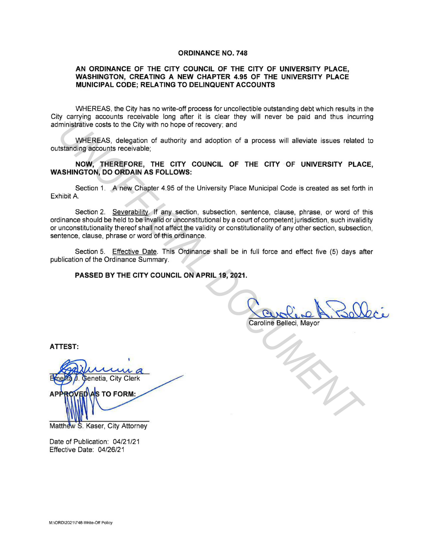#### **ORDINANCE NO. 748**

## **AN ORDINANCE OF THE CITY COUNCIL OF THE CITY OF UNIVERSITY PLACE, WASHINGTON, CREATING A NEW CHAPTER 4.95 OF THE UNIVERSITY PLACE MUNICIPAL CODE; RELATING TO DELINQUENT ACCOUNTS**

WHEREAS, the City has no write-off process for uncollectible outstanding debt which results in the City carrying accounts receivable long after it is clear they will never be paid and thus incurring administrative costs to the City with no hope of recovery; and

WHEREAS, delegation of authority and adoption of a process will alleviate issues related to outstanding accounts receivable;

**NOW, THEREFORE, THE CITY COUNCIL OF THE CITY OF UNIVERSITY PLACE, WASHINGTON, DO ORDAIN AS FOLLOWS:** 

Section 1. A new Chapter 4.95 of the University Place Municipal Code is created as set forth in Exhibit A

Section 2. Severability. If any section, subsection, sentence, clause, phrase, or word of this ordinance should be held to be invalid or unconstitutional by a court of competent jurisdiction, such invalidity or unconstitutionality thereof shall not affect the validity or constitutionality of any other section, subsection, sentence, clause, phrase or word of this ordinance. ministrative costs to the City with no hope of recovery, and<br>
UNEREAS, deelgation of authority and adoption of a process will alleviate issues related<br>
tstanding accounts receivable;<br>
NOW, THEREFORE, THE CITY COUNCIL OF TH

Section 5. Effective Date. This Ordinance shall be in full force and effect five (5) days after publication of the Ordinance Summary.

## **PASSED BY THE CITY COUNCIL ON APRIL 19, 2021.**

**ATTEST:** 

Matthew S. Kaser, City Attorney

Date of Publication: 04/21/21 Effective Date: 04/26/21